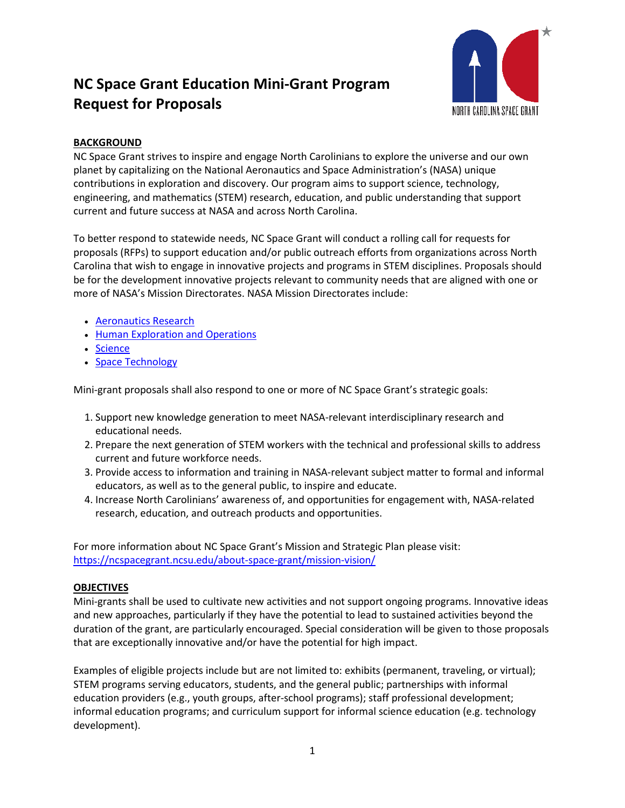

## **BACKGROUND**

NC Space Grant strives to inspire and engage North Carolinians to explore the universe and our own planet by capitalizing on the National Aeronautics and Space Administration's (NASA) unique contributions in exploration and discovery. Our program aims to support science, technology, engineering, and mathematics (STEM) research, education, and public understanding that support current and future success at NASA and across North Carolina.

To better respond to statewide needs, NC Space Grant will conduct a rolling call for requests for proposals (RFPs) to support education and/or public outreach efforts from organizations across North Carolina that wish to engage in innovative projects and programs in STEM disciplines. Proposals should be for the development innovative projects relevant to community needs that are aligned with one or more of NASA's Mission Directorates. NASA Mission Directorates include:

- [Aeronautics Research](https://www.nasa.gov/aeroresearch)
- [Human Exploration and Operations](https://www.nasa.gov/directorates/heo/index.html)
- [Science](https://science.nasa.gov/)
- [Space Technology](https://www.nasa.gov/directorates/spacetech/home/index.html)

Mini-grant proposals shall also respond to one or more of NC Space Grant's strategic goals:

- 1. Support new knowledge generation to meet NASA-relevant interdisciplinary research and educational needs.
- 2. Prepare the next generation of STEM workers with the technical and professional skills to address current and future workforce needs.
- 3. Provide access to information and training in NASA-relevant subject matter to formal and informal educators, as well as to the general public, to inspire and educate.
- 4. Increase North Carolinians' awareness of, and opportunities for engagement with, NASA-related research, education, and outreach products and opportunities.

For more information about NC Space Grant's Mission and Strategic Plan please visit: <https://ncspacegrant.ncsu.edu/about-space-grant/mission-vision/>

#### **OBJECTIVES**

Mini-grants shall be used to cultivate new activities and not support ongoing programs. Innovative ideas and new approaches, particularly if they have the potential to lead to sustained activities beyond the duration of the grant, are particularly encouraged. Special consideration will be given to those proposals that are exceptionally innovative and/or have the potential for high impact.

Examples of eligible projects include but are not limited to: exhibits (permanent, traveling, or virtual); STEM programs serving educators, students, and the general public; partnerships with informal education providers (e.g., youth groups, after-school programs); staff professional development; informal education programs; and curriculum support for informal science education (e.g. technology development).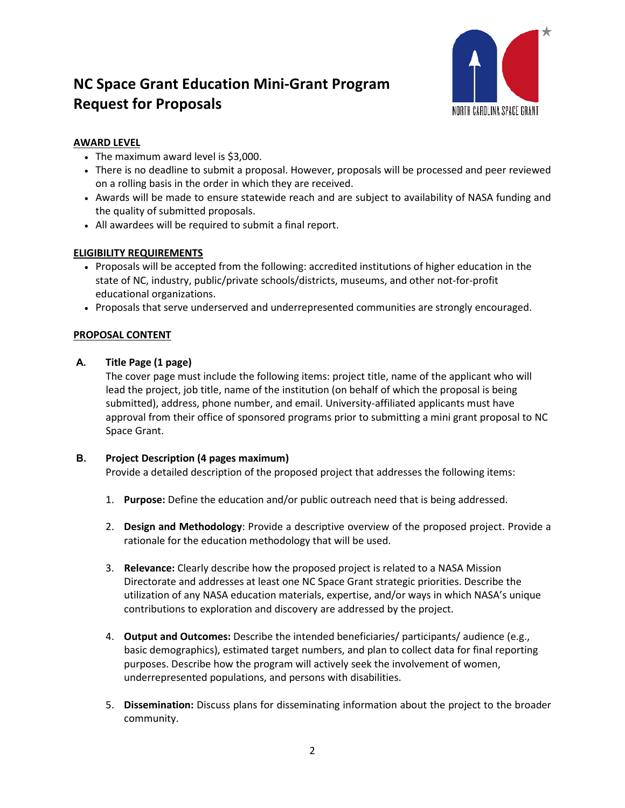

## **AWARD LEVEL**

- The maximum award level is \$3,000.
- There is no deadline to submit a proposal. However, proposals will be processed and peer reviewed on a rolling basis in the order in which they are received.
- Awards will be made to ensure statewide reach and are subject to availability of NASA funding and the quality of submitted proposals.
- All awardees will be required to submit a final report.

## **ELIGIBILITY REQUIREMENTS**

- Proposals will be accepted from the following: accredited institutions of higher education in the state of NC, industry, public/private schools/districts, museums, and other not-for-profit educational organizations.
- Proposals that serve underserved and underrepresented communities are strongly encouraged.

## **PROPOSAL CONTENT**

### **A. Title Page (1 page)**

The cover page must include the following items: project title, name of the applicant who will lead the project, job title, name of the institution (on behalf of which the proposal is being submitted), address, phone number, and email. University-affiliated applicants must have approval from their office of sponsored programs prior to submitting a mini grant proposal to NC Space Grant.

### **B. Project Description (4 pages maximum)**

Provide a detailed description of the proposed project that addresses the following items:

- 1. **Purpose:** Define the education and/or public outreach need that is being addressed.
- 2. **Design and Methodology**: Provide a descriptive overview of the proposed project. Provide a rationale for the education methodology that will be used.
- 3. **Relevance:** Clearly describe how the proposed project is related to a NASA Mission Directorate and addresses at least one NC Space Grant strategic priorities. Describe the utilization of any NASA education materials, expertise, and/or ways in which NASA's unique contributions to exploration and discovery are addressed by the project.
- 4. **Output and Outcomes:** Describe the intended beneficiaries/ participants/ audience (e.g., basic demographics), estimated target numbers, and plan to collect data for final reporting purposes. Describe how the program will actively seek the involvement of women, underrepresented populations, and persons with disabilities.
- 5. **Dissemination:** Discuss plans for disseminating information about the project to the broader community.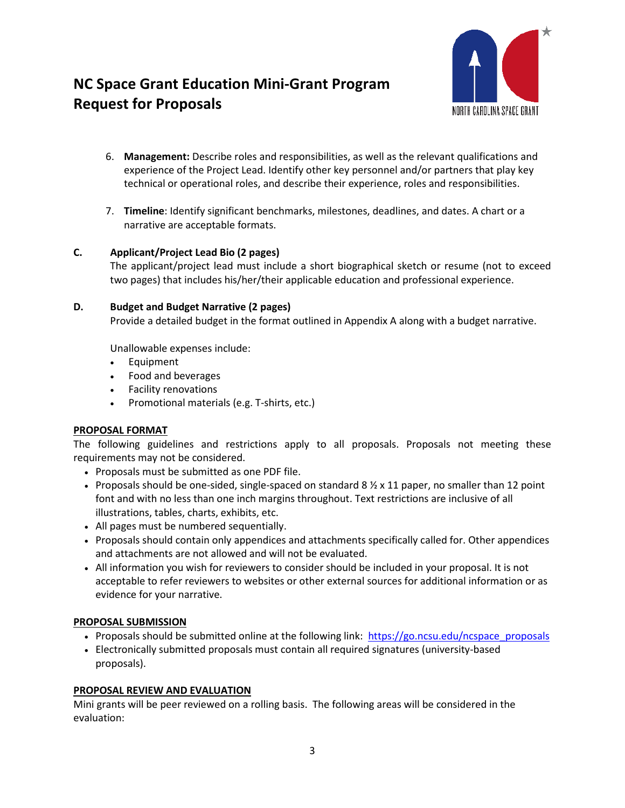

- 6. **Management:** Describe roles and responsibilities, as well as the relevant qualifications and experience of the Project Lead. Identify other key personnel and/or partners that play key technical or operational roles, and describe their experience, roles and responsibilities.
- 7. **Timeline**: Identify significant benchmarks, milestones, deadlines, and dates. A chart or a narrative are acceptable formats.

### **C. Applicant/Project Lead Bio (2 pages)**

The applicant/project lead must include a short biographical sketch or resume (not to exceed two pages) that includes his/her/their applicable education and professional experience.

### **D. Budget and Budget Narrative (2 pages)**

Provide a detailed budget in the format outlined in Appendix A along with a budget narrative.

Unallowable expenses include:

- Equipment
- Food and beverages
- Facility renovations
- Promotional materials (e.g. T-shirts, etc.)

### **PROPOSAL FORMAT**

The following guidelines and restrictions apply to all proposals. Proposals not meeting these requirements may not be considered.

- Proposals must be submitted as one PDF file.
- Proposals should be one-sided, single-spaced on standard 8  $\frac{1}{2}$  x 11 paper, no smaller than 12 point font and with no less than one inch margins throughout. Text restrictions are inclusive of all illustrations, tables, charts, exhibits, etc.
- All pages must be numbered sequentially.
- Proposals should contain only appendices and attachments specifically called for. Other appendices and attachments are not allowed and will not be evaluated.
- All information you wish for reviewers to consider should be included in your proposal. It is not acceptable to refer reviewers to websites or other external sources for additional information or as evidence for your narrative.

### **PROPOSAL SUBMISSION**

- Proposals should be submitted online at the following link: [https://go.ncsu.edu/ncspace\\_proposals](https://go.ncsu.edu/ncspace_proposals)
- Electronically submitted proposals must contain all required signatures (university-based proposals).

### **PROPOSAL REVIEW AND EVALUATION**

Mini grants will be peer reviewed on a rolling basis. The following areas will be considered in the evaluation: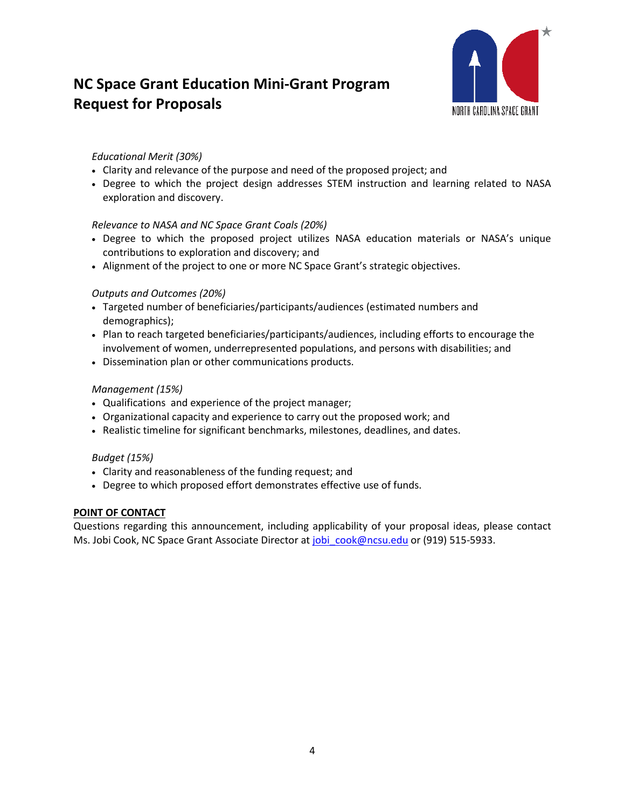

### *Educational Merit (30%)*

- Clarity and relevance of the purpose and need of the proposed project; and
- Degree to which the project design addresses STEM instruction and learning related to NASA exploration and discovery.

## *Relevance to NASA and NC Space Grant Coals (20%)*

- Degree to which the proposed project utilizes NASA education materials or NASA's unique contributions to exploration and discovery; and
- Alignment of the project to one or more NC Space Grant's strategic objectives.

### *Outputs and Outcomes (20%)*

- Targeted number of beneficiaries/participants/audiences (estimated numbers and demographics);
- Plan to reach targeted beneficiaries/participants/audiences, including efforts to encourage the involvement of women, underrepresented populations, and persons with disabilities; and
- Dissemination plan or other communications products.

## *Management (15%)*

- Qualifications and experience of the project manager;
- Organizational capacity and experience to carry out the proposed work; and
- Realistic timeline for significant benchmarks, milestones, deadlines, and dates.

### *Budget (15%)*

- Clarity and reasonableness of the funding request; and
- Degree to which proposed effort demonstrates effective use of funds.

### **POINT OF CONTACT**

Questions regarding this announcement, including applicability of your proposal ideas, please contact Ms. Jobi Cook, NC Space Grant Associate Director at jobi cook@ncsu.edu or (919) 515-5933.